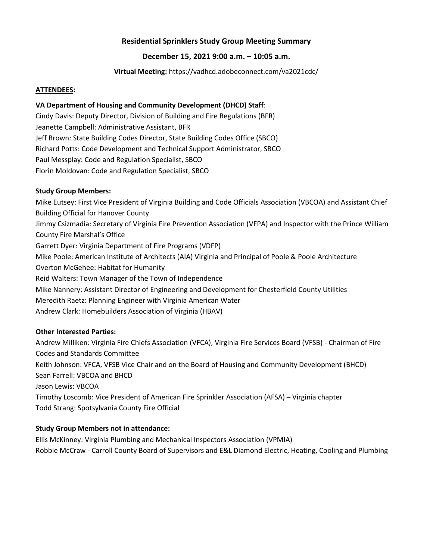# **Residential Sprinklers Study Group Meeting Summary**

# **December 15, 2021 9:00 a.m. – 10:05 a.m.**

**Virtual Meeting:** https://vadhcd.adobeconnect.com/va2021cdc/

### **ATTENDEES:**

### **VA Department of Housing and Community Development (DHCD) Staff**:

Cindy Davis: Deputy Director, Division of Building and Fire Regulations (BFR) Jeanette Campbell: Administrative Assistant, BFR Jeff Brown: State Building Codes Director, State Building Codes Office (SBCO) Richard Potts: Code Development and Technical Support Administrator, SBCO Paul Messplay: Code and Regulation Specialist, SBCO Florin Moldovan: Code and Regulation Specialist, SBCO

# **Study Group Members:**

Mike Eutsey: First Vice President of Virginia Building and Code Officials Association (VBCOA) and Assistant Chief Building Official for Hanover County Jimmy Csizmadia: Secretary of Virginia Fire Prevention Association (VFPA) and Inspector with the Prince William County Fire Marshal's Office Garrett Dyer: Virginia Department of Fire Programs (VDFP) Mike Poole: American Institute of Architects (AIA) Virginia and Principal of Poole & Poole Architecture Overton McGehee: Habitat for Humanity Reid Walters: Town Manager of the Town of Independence Mike Nannery: Assistant Director of Engineering and Development for Chesterfield County Utilities Meredith Raetz: Planning Engineer with Virginia American Water Andrew Clark: Homebuilders Association of Virginia (HBAV)

### **Other Interested Parties:**

Andrew Milliken: Virginia Fire Chiefs Association (VFCA), Virginia Fire Services Board (VFSB) - Chairman of Fire Codes and Standards Committee Keith Johnson: VFCA, VFSB Vice Chair and on the Board of Housing and Community Development (BHCD) Sean Farrell: VBCOA and BHCD Jason Lewis: VBCOA Timothy Loscomb: Vice President of American Fire Sprinkler Association (AFSA) – Virginia chapter Todd Strang: Spotsylvania County Fire Official

### **Study Group Members not in attendance:**

Ellis McKinney: Virginia Plumbing and Mechanical Inspectors Association (VPMIA) Robbie McCraw - Carroll County Board of Supervisors and E&L Diamond Electric, Heating, Cooling and Plumbing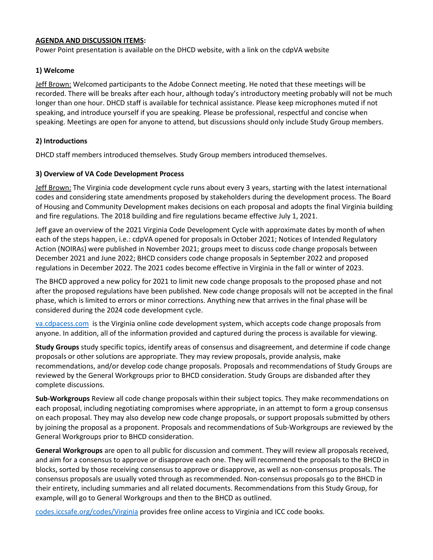#### **AGENDA AND DISCUSSION ITEMS:**

Power Point presentation is available on the DHCD website, with a link on the cdpVA website

### **1) Welcome**

Jeff Brown: Welcomed participants to the Adobe Connect meeting. He noted that these meetings will be recorded. There will be breaks after each hour, although today's introductory meeting probably will not be much longer than one hour. DHCD staff is available for technical assistance. Please keep microphones muted if not speaking, and introduce yourself if you are speaking. Please be professional, respectful and concise when speaking. Meetings are open for anyone to attend, but discussions should only include Study Group members.

### **2) Introductions**

DHCD staff members introduced themselves. Study Group members introduced themselves.

#### **3) Overview of VA Code Development Process**

Jeff Brown: The Virginia code development cycle runs about every 3 years, starting with the latest international codes and considering state amendments proposed by stakeholders during the development process. The Board of Housing and Community Development makes decisions on each proposal and adopts the final Virginia building and fire regulations. The 2018 building and fire regulations became effective July 1, 2021.

Jeff gave an overview of the 2021 Virginia Code Development Cycle with approximate dates by month of when each of the steps happen, i.e.: cdpVA opened for proposals in October 2021; Notices of Intended Regulatory Action (NOIRAs) were published in November 2021; groups meet to discuss code change proposals between December 2021 and June 2022; BHCD considers code change proposals in September 2022 and proposed regulations in December 2022. The 2021 codes become effective in Virginia in the fall or winter of 2023.

The BHCD approved a new policy for 2021 to limit new code change proposals to the proposed phase and not after the proposed regulations have been published. New code change proposals will not be accepted in the final phase, which is limited to errors or minor corrections. Anything new that arrives in the final phase will be considered during the 2024 code development cycle.

[va.cdpacess.com](https://va.cdpaccess.com/) is the Virginia online code development system, which accepts code change proposals from anyone. In addition, all of the information provided and captured during the process is available for viewing.

**Study Groups** study specific topics, identify areas of consensus and disagreement, and determine if code change proposals or other solutions are appropriate. They may review proposals, provide analysis, make recommendations, and/or develop code change proposals. Proposals and recommendations of Study Groups are reviewed by the General Workgroups prior to BHCD consideration. Study Groups are disbanded after they complete discussions.

**Sub-Workgroups** Review all code change proposals within their subject topics. They make recommendations on each proposal, including negotiating compromises where appropriate, in an attempt to form a group consensus on each proposal. They may also develop new code change proposals, or support proposals submitted by others by joining the proposal as a proponent. Proposals and recommendations of Sub-Workgroups are reviewed by the General Workgroups prior to BHCD consideration.

**General Workgroups** are open to all public for discussion and comment. They will review all proposals received, and aim for a consensus to approve or disapprove each one. They will recommend the proposals to the BHCD in blocks, sorted by those receiving consensus to approve or disapprove, as well as non-consensus proposals. The consensus proposals are usually voted through as recommended. Non-consensus proposals go to the BHCD in their entirety, including summaries and all related documents. Recommendations from this Study Group, for example, will go to General Workgroups and then to the BHCD as outlined.

[codes.iccsafe.org/codes/Virginia](https://codes.iccsafe.org/codes/virginia) provides free online access to Virginia and ICC code books.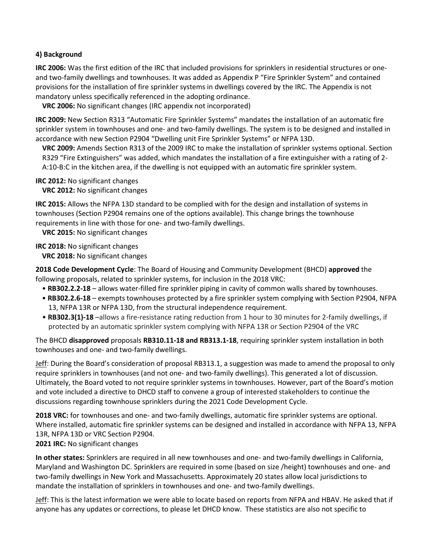# **4) Background**

**IRC 2006:** Was the first edition of the IRC that included provisions for sprinklers in residential structures or oneand two-family dwellings and townhouses. It was added as Appendix P "Fire Sprinkler System" and contained provisions for the installation of fire sprinkler systems in dwellings covered by the IRC. The Appendix is not mandatory unless specifically referenced in the adopting ordinance.

**VRC 2006:** No significant changes (IRC appendix not incorporated)

**IRC 2009:** New Section R313 "Automatic Fire Sprinkler Systems" mandates the installation of an automatic fire sprinkler system in townhouses and one- and two-family dwellings. The system is to be designed and installed in accordance with new Section P2904 "Dwelling unit Fire Sprinkler Systems" or NFPA 13D.

**VRC 2009:** Amends Section R313 of the 2009 IRC to make the installation of sprinkler systems optional. Section R329 "Fire Extinguishers" was added, which mandates the installation of a fire extinguisher with a rating of 2- A:10-B:C in the kitchen area, if the dwelling is not equipped with an automatic fire sprinkler system.

#### **IRC 2012:** No significant changes

**VRC 2012:** No significant changes

**IRC 2015:** Allows the NFPA 13D standard to be complied with for the design and installation of systems in townhouses (Section P2904 remains one of the options available). This change brings the townhouse requirements in line with those for one- and two-family dwellings.

**VRC 2015:** No significant changes

**IRC 2018:** No significant changes

**VRC 2018:** No significant changes

**2018 Code Development Cycle**: The Board of Housing and Community Development (BHCD) **approved** the following proposals, related to sprinkler systems, for inclusion in the 2018 VRC:

- **RB302.2.2-18**  allows water-filled fire sprinkler piping in cavity of common walls shared by townhouses.
- **RB302.2.6-18**  exempts townhouses protected by a fire sprinkler system complying with Section P2904, NFPA 13, NFPA 13R or NFPA 13D, from the structural independence requirement.
- **RB302.3(1)-18** –allows a fire-resistance rating reduction from 1 hour to 30 minutes for 2-family dwellings, if protected by an automatic sprinkler system complying with NFPA 13R or Section P2904 of the VRC

The BHCD **disapproved** proposals **RB310.11-18 and RB313.1-18**, requiring sprinkler system installation in both townhouses and one- and two-family dwellings.

Jeff: During the Board's consideration of proposal RB313.1, a suggestion was made to amend the proposal to only require sprinklers in townhouses (and not one- and two-family dwellings). This generated a lot of discussion. Ultimately, the Board voted to not require sprinkler systems in townhouses. However, part of the Board's motion and vote included a directive to DHCD staff to convene a group of interested stakeholders to continue the discussions regarding townhouse sprinklers during the 2021 Code Development Cycle.

**2018 VRC:** for townhouses and one- and two-family dwellings, automatic fire sprinkler systems are optional. Where installed, automatic fire sprinkler systems can be designed and installed in accordance with NFPA 13, NFPA 13R, NFPA 13D or VRC Section P2904.

### **2021 IRC:** No significant changes

**In other states:** Sprinklers are required in all new townhouses and one- and two-family dwellings in California, Maryland and Washington DC. Sprinklers are required in some (based on size /height) townhouses and one- and two-family dwellings in New York and Massachusetts. Approximately 20 states allow local jurisdictions to mandate the installation of sprinklers in townhouses and one- and two-family dwellings.

Jeff: This is the latest information we were able to locate based on reports from NFPA and HBAV. He asked that if anyone has any updates or corrections, to please let DHCD know. These statistics are also not specific to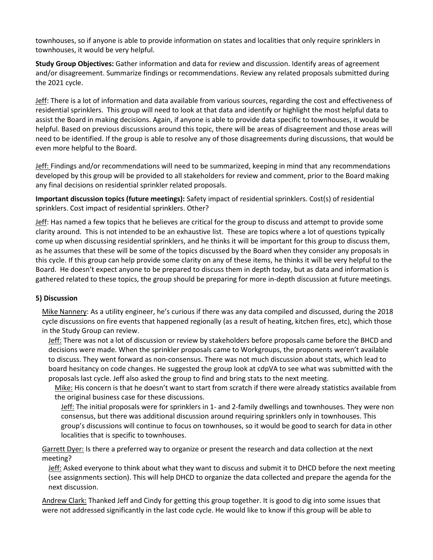townhouses, so if anyone is able to provide information on states and localities that only require sprinklers in townhouses, it would be very helpful.

**Study Group Objectives:** Gather information and data for review and discussion. Identify areas of agreement and/or disagreement. Summarize findings or recommendations. Review any related proposals submitted during the 2021 cycle.

Jeff: There is a lot of information and data available from various sources, regarding the cost and effectiveness of residential sprinklers. This group will need to look at that data and identify or highlight the most helpful data to assist the Board in making decisions. Again, if anyone is able to provide data specific to townhouses, it would be helpful. Based on previous discussions around this topic, there will be areas of disagreement and those areas will need to be identified. If the group is able to resolve any of those disagreements during discussions, that would be even more helpful to the Board.

Jeff: Findings and/or recommendations will need to be summarized, keeping in mind that any recommendations developed by this group will be provided to all stakeholders for review and comment, prior to the Board making any final decisions on residential sprinkler related proposals.

**Important discussion topics (future meetings):** Safety impact of residential sprinklers. Cost(s) of residential sprinklers. Cost impact of residential sprinklers. Other?

Jeff: Has named a few topics that he believes are critical for the group to discuss and attempt to provide some clarity around. This is not intended to be an exhaustive list. These are topics where a lot of questions typically come up when discussing residential sprinklers, and he thinks it will be important for this group to discuss them, as he assumes that these will be some of the topics discussed by the Board when they consider any proposals in this cycle. If this group can help provide some clarity on any of these items, he thinks it will be very helpful to the Board. He doesn't expect anyone to be prepared to discuss them in depth today, but as data and information is gathered related to these topics, the group should be preparing for more in-depth discussion at future meetings.

### **5) Discussion**

Mike Nannery: As a utility engineer, he's curious if there was any data compiled and discussed, during the 2018 cycle discussions on fire events that happened regionally (as a result of heating, kitchen fires, etc), which those in the Study Group can review.

Jeff: There was not a lot of discussion or review by stakeholders before proposals came before the BHCD and decisions were made. When the sprinkler proposals came to Workgroups, the proponents weren't available to discuss. They went forward as non-consensus. There was not much discussion about stats, which lead to board hesitancy on code changes. He suggested the group look at cdpVA to see what was submitted with the proposals last cycle. Jeff also asked the group to find and bring stats to the next meeting.

Mike: His concern is that he doesn't want to start from scratch if there were already statistics available from the original business case for these discussions.

Jeff: The initial proposals were for sprinklers in 1- and 2-family dwellings and townhouses. They were non consensus, but there was additional discussion around requiring sprinklers only in townhouses. This group's discussions will continue to focus on townhouses, so it would be good to search for data in other localities that is specific to townhouses.

Garrett Dyer: Is there a preferred way to organize or present the research and data collection at the next meeting?

Jeff: Asked everyone to think about what they want to discuss and submit it to DHCD before the next meeting (see assignments section). This will help DHCD to organize the data collected and prepare the agenda for the next discussion.

Andrew Clark: Thanked Jeff and Cindy for getting this group together. It is good to dig into some issues that were not addressed significantly in the last code cycle. He would like to know if this group will be able to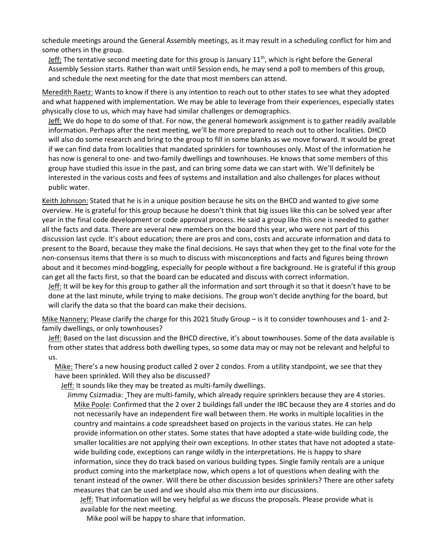schedule meetings around the General Assembly meetings, as it may result in a scheduling conflict for him and some others in the group.

Leff: The tentative second meeting date for this group is January  $11<sup>th</sup>$ , which is right before the General Assembly Session starts. Rather than wait until Session ends, he may send a poll to members of this group, and schedule the next meeting for the date that most members can attend.

Meredith Raetz: Wants to know if there is any intention to reach out to other states to see what they adopted and what happened with implementation. We may be able to leverage from their experiences, especially states physically close to us, which may have had similar challenges or demographics.

Jeff: We do hope to do some of that. For now, the general homework assignment is to gather readily available information. Perhaps after the next meeting, we'll be more prepared to reach out to other localities. DHCD will also do some research and bring to the group to fill in some blanks as we move forward. It would be great if we can find data from localities that mandated sprinklers for townhouses only. Most of the information he has now is general to one- and two-family dwellings and townhouses. He knows that some members of this group have studied this issue in the past, and can bring some data we can start with. We'll definitely be interested in the various costs and fees of systems and installation and also challenges for places without public water.

Keith Johnson: Stated that he is in a unique position because he sits on the BHCD and wanted to give some overview. He is grateful for this group because he doesn't think that big issues like this can be solved year after year in the final code development or code approval process. He said a group like this one is needed to gather all the facts and data. There are several new members on the board this year, who were not part of this discussion last cycle. It's about education; there are pros and cons, costs and accurate information and data to present to the Board, because they make the final decisions. He says that when they get to the final vote for the non-consensus items that there is so much to discuss with misconceptions and facts and figures being thrown about and it becomes mind-boggling, especially for people without a fire background. He is grateful if this group can get all the facts first, so that the board can be educated and discuss with correct information.

Jeff: It will be key for this group to gather all the information and sort through it so that it doesn't have to be done at the last minute, while trying to make decisions. The group won't decide anything for the board, but will clarify the data so that the board can make their decisions.

Mike Nannery: Please clarify the charge for this 2021 Study Group – is it to consider townhouses and 1- and 2 family dwellings, or only townhouses?

Jeff: Based on the last discussion and the BHCD directive, it's about townhouses. Some of the data available is from other states that address both dwelling types, so some data may or may not be relevant and helpful to us.

Mike: There's a new housing product called 2 over 2 condos. From a utility standpoint, we see that they have been sprinkled. Will they also be discussed?

Jeff: It sounds like they may be treated as multi-family dwellings.

Jimmy Csizmadia: They are multi-family, which already require sprinklers because they are 4 stories. Mike Poole: Confirmed that the 2 over 2 buildings fall under the IBC because they are 4 stories and do not necessarily have an independent fire wall between them. He works in multiple localities in the country and maintains a code spreadsheet based on projects in the various states. He can help provide information on other states. Some states that have adopted a state-wide building code, the smaller localities are not applying their own exceptions. In other states that have not adopted a statewide building code, exceptions can range wildly in the interpretations. He is happy to share information, since they do track based on various building types. Single family rentals are a unique product coming into the marketplace now, which opens a lot of questions when dealing with the tenant instead of the owner. Will there be other discussion besides sprinklers? There are other safety measures that can be used and we should also mix them into our discussions.

Jeff: That information will be very helpful as we discuss the proposals. Please provide what is available for the next meeting.

Mike pool will be happy to share that information.